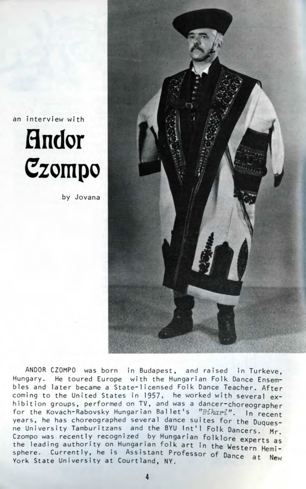an interview with



by Jovana



ANDOR CZOMPO was born in Budapest, and raised in Turkeve, Hungary. He toured Europe with the Hungarian Folk Dance Ensembles and later became a State-1icensed Folk Dance Teacher. After coming to the United States in 1957, he worked with several exhibition groups, performed on TV, and was a dancer-choreographer for the Kovach-Rabovsky Hungarian Ballet's "Bihari". In recent years, he has choreographed several dance suites for the Duquesne University Tamburitzans and the BYU Int'l Folk Dancers. Mr. Czompo was recently recognized by Hungarian folklore experts as the leading authority on Hungarian folk art in the Western Hemisphere. Currently, he is Assistant Professor of Dance at New York State University at Courtland, NY.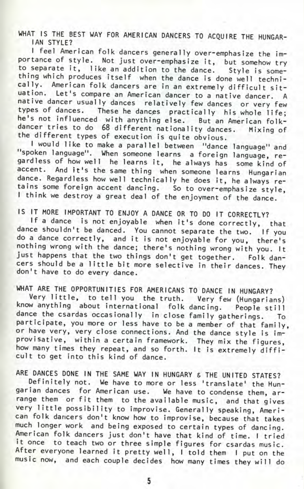WHAT IS THE BEST WAY FOR AMERICAN DANCERS TO ACQUIRE THE HUNGAR-IAN STYLE?

I feel American folk dancers generally over-emphasize the importance of style. Not just over-emphasize it, but somehow try to separate it, like an addition to the dance. Style is something which produces itself when the dance is done well technically. American folk dancers are in an extremely difficult situation. Let's compare an American dancer to a native dancer. A native dancer usually dances relatively few dances or very few types of dances. These he dances practically his whole life; he's not influenced with anything else. But an American folkdancer tries to do 68 different nationality dances. Mixing of the different types of execution is quite obvious.

I would like to make a parallel between "dance language" and "spoken language". When someone learns a foreign language, regardless of how well he learns it, he always has some kind of accent. And it's the same thing when someone learns Hungarian dance. Regardless how well technically he does it, he always retains some foreign accent dancing. So to over-emphasize style, I think we destroy a great deal of the enjoyment of the dance.

IS IT MORE IMPORTANT TO ENJOY A DANCE OR TO DO IT CORRECTLY?

If a dance is not enjoyable when it's done correctly, that dance shouldn't be danced. You cannot separate the two. If you do a dance correctly, and it is not enjoyable for you, there's nothing wrong with the dance; there's nothing wrong with you. It just happens that the two things don't get together. Folk dancers should be a little bit more selective in their dances. They don't have to do every dance.

WHAT ARE THE OPPORTUNITIES FOR AMERICANS TO DANCE IN HUNGARY? Very little, to tell you the truth. Very few (Hungarians) know anything about international folk dancing. People still dance the csardas occasionally in close family gatherings. To participate, you more or less have to be a member of that family, or have very, very close connections. And the dance style is imrovisative, within a certain framework. They mix the figures, ow many times they repeat, and so forth. It is extremely difficult to get into this kind of dance.

ARE DANCES DONE IN THE SAME WAY IN HUNGARY 6 THE UNITED STATES? Definitely not. We have to more or less 'translate' the Hungarian dances for American use. We have to condense them, arrange them or fit them to the available music, and that gives very little possibility to improvise. Generally speaking, American folk dancers don't know how to improvise, because that takes much longer work and being exposed to certain types of dancing. American folk dancers just don't have that kind of time. I tried it once to teach two or three simple figures for csardas music. After everyone learned it pretty well, I told them I put on the music now, and each couple decides how many times they will do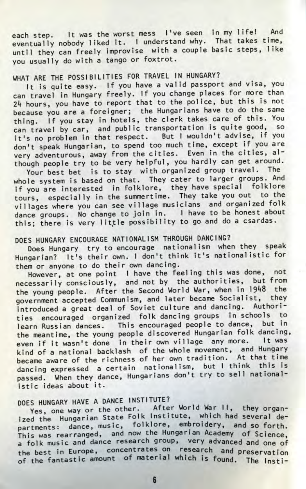each step. It was the worst mess I've seen in my life! And eventually nobody liked it. I understand why. That takes time, until they can freely improvise with a couple basic steps, like you usually do with a tango or foxtrot.

## WHAT ARE THE POSSIBILITIES FOR TRAVEL IN HUNGARY?

It is quite easy. If you have a valid passport and visa, you can travel in Hungary freely. If you change places for more than 2k hours, you have to report that to the police, but this is not because you are a foreigner; the Hungarians have to do the same thing. If you stay in hotels, the clerk takes care of this. You can travel by car, and public transportation is quite good, so it's no problem in that respect. But I wouldn't advise, if you don't speak Hungarian, to spend too much time, except if you are  $\alpha$ ry adventurous, away from the cities. Even in the cities, although people try to be very helpful, you hardly can get around.

Your best bet is to stay with organized group travel. The whole system is based on that. They cater to larger groups. And if you are interested in folklore, they have special folklore tours, especially in the summertime. They take you out to the villages where you can see village musicians and organized folk dance groups. No change to join in. I have to be honest about this; there is very little possibility to go and do a csardas.

## DOES HUNGARY ENCOURAGE NATIONALISM THROUGH DANCING?

Does Hungary try to encourage nationalism when they speak Hungarian? It's their own. I don't think it's nationalistic for them or anyone to do their own dancing.

However, at one point I have the feeling this was done, not necessarily consciously, and not by the authorities, but from the young people. After the Second World War, when in 1948 the government accepted Communism, and later became Socialist, they introduced a great deal of Soviet culture and dancing. Authorities encouraged organized folk dancing groups in schools to learn Russian dances. This encouraged people to dance, but in the meantime, the young people discovered Hungarian folk dancing, wen if it wasn't done in their own village any more. It was ind of a national backlash of the whole movement, and Hungary became aware of the richness of her own tradition. At that time dancing expressed a certain nationalism, but I think this is passed. When they dance, Hungarians don't try to sell nationalistic ideas about it.

## DOES HUNGARY HAVE A DANCE INSTITUTE?

Yes, one way or the other. After World War II, they organized the Hungarian State Folk Institute, which had several departments: dance, music, folklore, embroidery, and so forth. This was rearranged, and now the Hungarian Academy of Science' a folk music and dance research group, very advanced and one of the best in Europe, concentrates on research and preservation of the fantastic amount of material which is found. The Insti-